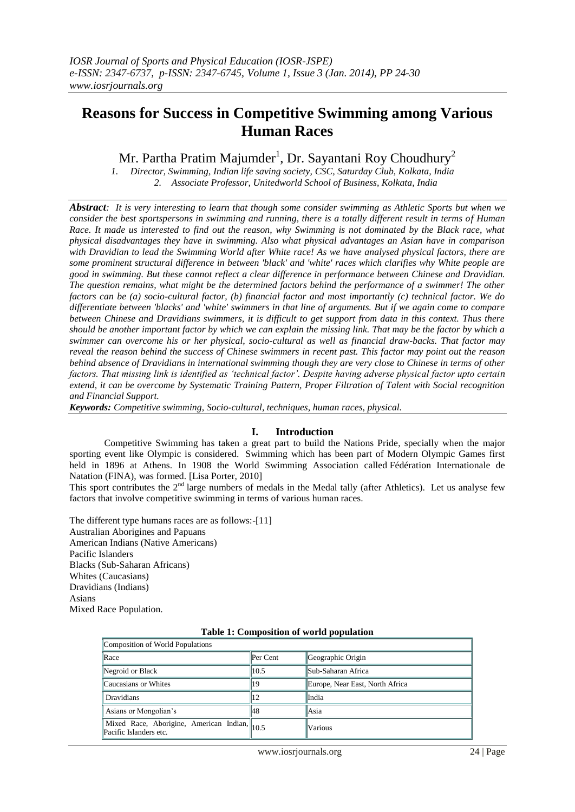# **Reasons for Success in Competitive Swimming among Various Human Races**

Mr. Partha Pratim Majumder $^1$ , Dr. Sayantani Roy Choudhury $^2$ 

 *1. Director, Swimming, Indian life saving society, CSC, Saturday Club, Kolkata, India 2. Associate Professor, Unitedworld School of Business, Kolkata, India*

*Abstract: It is very interesting to learn that though some consider swimming as Athletic Sports but when we consider the best sportspersons in swimming and running, there is a totally different result in terms of Human Race. It made us interested to find out the reason, why Swimming is not dominated by the Black race, what physical disadvantages they have in swimming. Also what physical advantages an Asian have in comparison with Dravidian to lead the Swimming World after White race! As we have analysed physical factors, there are some prominent structural difference in between 'black' and 'white' races which clarifies why White people are good in swimming. But these cannot reflect a clear difference in performance between Chinese and Dravidian. The question remains, what might be the determined factors behind the performance of a swimmer! The other factors can be (a) socio-cultural factor, (b) financial factor and most importantly (c) technical factor. We do differentiate between 'blacks' and 'white' swimmers in that line of arguments. But if we again come to compare between Chinese and Dravidians swimmers, it is difficult to get support from data in this context. Thus there should be another important factor by which we can explain the missing link. That may be the factor by which a swimmer can overcome his or her physical, socio-cultural as well as financial draw-backs. That factor may reveal the reason behind the success of Chinese swimmers in recent past. This factor may point out the reason behind absence of Dravidians in international swimming though they are very close to Chinese in terms of other factors. That missing link is identified as 'technical factor'. Despite having adverse physical factor upto certain extend, it can be overcome by Systematic Training Pattern, Proper Filtration of Talent with Social recognition and Financial Support.*

*Keywords: Competitive swimming, Socio-cultural, techniques, human races, physical.*

# **I. Introduction**

Competitive Swimming has taken a great part to build the Nations Pride, specially when the major sporting event like Olympic is considered. Swimming which has been part of Modern Olympic Games first held in 1896 at Athens. In 1908 the World Swimming Association called [Fédération Internationale de](http://en.wikipedia.org/wiki/F%C3%A9d%C3%A9ration_Internationale_de_Natation)  [Natation](http://en.wikipedia.org/wiki/F%C3%A9d%C3%A9ration_Internationale_de_Natation) (FINA), was formed. [Lisa Porter, 2010]

This sport contributes the  $2<sup>nd</sup>$  large numbers of medals in the Medal tally (after Athletics). Let us analyse few factors that involve competitive swimming in terms of various human races.

The different type humans races are as follows:-[11] Australian Aborigines and Papuans American Indians (Native Americans) Pacific Islanders Blacks (Sub-Saharan Africans) Whites (Caucasians) Dravidians (Indians) Asians Mixed Race Population.

| Composition of World Populations                                       |            |                                 |  |  |  |  |  |  |  |
|------------------------------------------------------------------------|------------|---------------------------------|--|--|--|--|--|--|--|
| Race                                                                   | Per Cent   | Geographic Origin               |  |  |  |  |  |  |  |
| Negroid or Black                                                       | 10.5       | <b>Sub-Saharan Africa</b>       |  |  |  |  |  |  |  |
| Caucasians or Whites                                                   | 19         | Europe, Near East, North Africa |  |  |  |  |  |  |  |
| Dravidians                                                             | $\vert$ 12 | India                           |  |  |  |  |  |  |  |
| Asians or Mongolian's                                                  | 48         | Asia                            |  |  |  |  |  |  |  |
| Mixed Race, Aborigine, American Indian, 10.5<br>Pacific Islanders etc. |            | Various                         |  |  |  |  |  |  |  |

#### **Table 1: Composition of world population**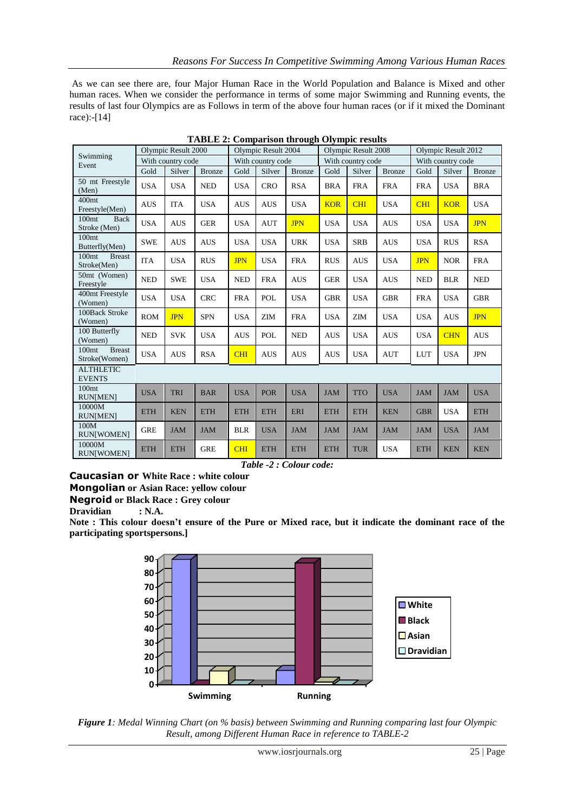As we can see there are, four Major Human Race in the World Population and Balance is Mixed and other human races. When we consider the performance in terms of some major Swimming and Running events, the results of last four Olympics are as Follows in term of the above four human races (or if it mixed the Dominant race):-[14]

| Swimming<br>Event                                   | Olympic Result 2000 |            | Olympic Result 2004 |            | Olympic Result 2008 |               |            | Olympic Result 2012 |               |            |            |               |
|-----------------------------------------------------|---------------------|------------|---------------------|------------|---------------------|---------------|------------|---------------------|---------------|------------|------------|---------------|
|                                                     | With country code   |            | With country code   |            | With country code   |               |            | With country code   |               |            |            |               |
|                                                     | Gold                | Silver     | <b>Bronze</b>       | Gold       | Silver              | <b>Bronze</b> | Gold       | Silver              | <b>Bronze</b> | Gold       | Silver     | <b>Bronze</b> |
| 50 mt Freestyle<br>(Men)                            | <b>USA</b>          | <b>USA</b> | <b>NED</b>          | <b>USA</b> | <b>CRO</b>          | <b>RSA</b>    | <b>BRA</b> | <b>FRA</b>          | <b>FRA</b>    | <b>FRA</b> | <b>USA</b> | <b>BRA</b>    |
| 400 <sub>mt</sub><br>Freestyle(Men)                 | <b>AUS</b>          | <b>ITA</b> | <b>USA</b>          | <b>AUS</b> | <b>AUS</b>          | <b>USA</b>    | <b>KOR</b> | <b>CHI</b>          | <b>USA</b>    | CHI        | <b>KOR</b> | <b>USA</b>    |
| 100 <sub>mt</sub><br><b>Back</b><br>Stroke (Men)    | <b>USA</b>          | <b>AUS</b> | <b>GER</b>          | <b>USA</b> | <b>AUT</b>          | <b>JPN</b>    | <b>USA</b> | <b>USA</b>          | <b>AUS</b>    | <b>USA</b> | <b>USA</b> | <b>JPN</b>    |
| 100 <sub>mt</sub><br>Butterfly(Men)                 | <b>SWE</b>          | <b>AUS</b> | <b>AUS</b>          | <b>USA</b> | <b>USA</b>          | <b>URK</b>    | <b>USA</b> | <b>SRB</b>          | <b>AUS</b>    | <b>USA</b> | <b>RUS</b> | <b>RSA</b>    |
| 100 <sub>mt</sub><br><b>Breast</b><br>Stroke(Men)   | <b>ITA</b>          | <b>USA</b> | <b>RUS</b>          | <b>JPN</b> | <b>USA</b>          | <b>FRA</b>    | <b>RUS</b> | <b>AUS</b>          | <b>USA</b>    | <b>JPN</b> | <b>NOR</b> | <b>FRA</b>    |
| 50mt (Women)<br>Freestyle                           | <b>NED</b>          | <b>SWE</b> | <b>USA</b>          | <b>NED</b> | <b>FRA</b>          | <b>AUS</b>    | <b>GER</b> | <b>USA</b>          | <b>AUS</b>    | <b>NED</b> | <b>BLR</b> | <b>NED</b>    |
| 400mt Freestyle<br>(Women)                          | <b>USA</b>          | <b>USA</b> | <b>CRC</b>          | <b>FRA</b> | POL                 | <b>USA</b>    | <b>GBR</b> | <b>USA</b>          | <b>GBR</b>    | <b>FRA</b> | <b>USA</b> | <b>GBR</b>    |
| 100Back Stroke<br>(Women)                           | <b>ROM</b>          | <b>JPN</b> | <b>SPN</b>          | <b>USA</b> | <b>ZIM</b>          | <b>FRA</b>    | <b>USA</b> | ZIM                 | <b>USA</b>    | <b>USA</b> | <b>AUS</b> | <b>JPN</b>    |
| 100 Butterfly<br>(Women)                            | <b>NED</b>          | <b>SVK</b> | <b>USA</b>          | <b>AUS</b> | POL                 | <b>NED</b>    | <b>AUS</b> | <b>USA</b>          | <b>AUS</b>    | <b>USA</b> | <b>CHN</b> | <b>AUS</b>    |
| <b>Breast</b><br>100 <sub>mt</sub><br>Stroke(Women) | <b>USA</b>          | <b>AUS</b> | <b>RSA</b>          | <b>CHI</b> | <b>AUS</b>          | <b>AUS</b>    | <b>AUS</b> | <b>USA</b>          | <b>AUT</b>    | <b>LUT</b> | <b>USA</b> | <b>JPN</b>    |
| <b>ALTHLETIC</b><br><b>EVENTS</b>                   |                     |            |                     |            |                     |               |            |                     |               |            |            |               |
| 100 <sub>mt</sub><br><b>RUNIMEN</b>                 | <b>USA</b>          | <b>TRI</b> | <b>BAR</b>          | <b>USA</b> | <b>POR</b>          | <b>USA</b>    | <b>JAM</b> | <b>TTO</b>          | <b>USA</b>    | <b>JAM</b> | <b>JAM</b> | <b>USA</b>    |
| 10000M<br><b>RUNIMEN</b>                            | <b>ETH</b>          | <b>KEN</b> | <b>ETH</b>          | <b>ETH</b> | <b>ETH</b>          | ERI           | <b>ETH</b> | <b>ETH</b>          | <b>KEN</b>    | <b>GBR</b> | <b>USA</b> | <b>ETH</b>    |
| 100M<br><b>RUN[WOMEN]</b>                           | <b>GRE</b>          | <b>JAM</b> | <b>JAM</b>          | <b>BLR</b> | <b>USA</b>          | <b>JAM</b>    | <b>JAM</b> | <b>JAM</b>          | <b>JAM</b>    | <b>JAM</b> | <b>USA</b> | <b>JAM</b>    |
| 10000M<br><b>RUNIWOMEN1</b>                         | <b>ETH</b>          | <b>ETH</b> | <b>GRE</b>          | <b>CHI</b> | <b>ETH</b>          | <b>ETH</b>    | <b>ETH</b> | <b>TUR</b>          | <b>USA</b>    | <b>ETH</b> | <b>KEN</b> | <b>KEN</b>    |

**TABLE 2: Comparison through Olympic results**

*Table -2 : Colour code:*

**Caucasian or White Race : white colour** 

**Mongolian or Asian Race: yellow colour** 

**Negroid or Black Race : Grey colour**

**Dravidian : N.A.**

**Note : This colour doesn't ensure of the Pure or Mixed race, but it indicate the dominant race of the participating sportspersons.]**



*Figure 1: Medal Winning Chart (on % basis) between Swimming and Running comparing last four Olympic Result, among Different Human Race in reference to TABLE-2*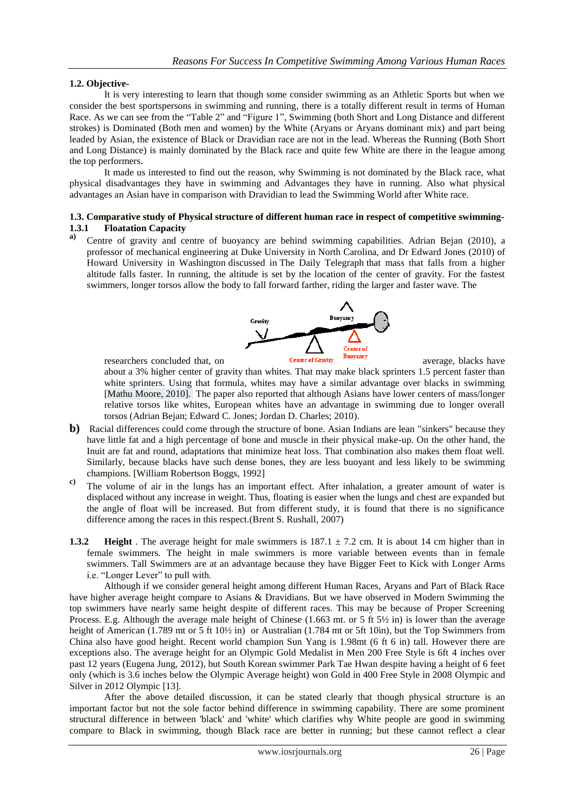### **1.2. Objective-**

It is very interesting to learn that though some consider swimming as an Athletic Sports but when we consider the best sportspersons in swimming and running, there is a totally different result in terms of Human Race. As we can see from the "Table 2" and "Figure 1", Swimming (both Short and Long Distance and different strokes) is Dominated (Both men and women) by the White (Aryans or Aryans dominant mix) and part being leaded by Asian, the existence of Black or Dravidian race are not in the lead. Whereas the Running (Both Short and Long Distance) is mainly dominated by the Black race and quite few White are there in the league among the top performers.

It made us interested to find out the reason, why Swimming is not dominated by the Black race, what physical disadvantages they have in swimming and Advantages they have in running. Also what physical advantages an Asian have in comparison with Dravidian to lead the Swimming World after White race.

# **1.3. Comparative study of Physical structure of different human race in respect of competitive swimming-1.3.1 Floatation Capacity**

**a)** Centre of gravity and centre of buoyancy are behind swimming capabilities. Adrian Bejan (2010), a professor of mechanical engineering at Duke University in North Carolina, and Dr Edward Jones (2010) of Howard University in Washington discussed in The Daily Telegraph that mass that falls from a higher altitude falls faster. In running, the altitude is set by the location of the center of gravity. For the fastest swimmers, longer torsos allow the body to fall forward farther, riding the larger and faster wave. The



about a 3% higher center of gravity than whites. That may make black sprinters 1.5 percent faster than white sprinters. Using that formula, whites may have a similar advantage over blacks in swimming [Mathu Moore, 2010]. The paper also reported that although Asians have lower centers of mass/longer relative torsos like whites, European whites have an advantage in swimming due to longer overall torsos (Adrian Bejan; Edward C. Jones; Jordan D. Charles; 2010).

- **b**) Racial differences could come through the structure of bone. Asian Indians are lean "sinkers" because they have little fat and a high percentage of bone and muscle in their physical make-up. On the other hand, the Inuit are fat and round, adaptations that minimize heat loss. That combination also makes them float well. Similarly, because blacks have such dense bones, they are less buoyant and less likely to be swimming champions. [William Robertson Boggs, 1992]
- **c)** The volume of air in the lungs has an important effect. After inhalation, a greater amount of water is displaced without any increase in weight. Thus, floating is easier when the lungs and chest are expanded but the angle of float will be increased. But from different study, it is found that there is no significance difference among the races in this respect.(Brent S. Rushall, 2007)
- **1.3.2 Height** . The average height for male swimmers is  $187.1 \pm 7.2$  cm. It is about 14 cm higher than in female swimmers. The height in male swimmers is more variable between events than in female swimmers. Tall Swimmers are at an advantage because they have Bigger Feet to Kick with Longer Arms i.e. "Longer Lever" to pull with.

Although if we consider general height among different Human Races, Aryans and Part of Black Race have higher average height compare to Asians & Dravidians. But we have observed in Modern Swimming the top swimmers have nearly same height despite of different races. This may be because of Proper Screening Process. E.g. Although the average male height of Chinese (1.663 mt. or 5 ft 5½ in) is lower than the average height of American (1.789 mt or 5 ft 10½ in) or Australian (1.784 mt or 5ft 10in), but the Top Swimmers from China also have good height. Recent world champion Sun Yang is 1.98mt (6 ft 6 in) tall. However there are exceptions also. The average height for an Olympic Gold Medalist in Men 200 Free Style is 6ft 4 inches over past 12 years (Eugena Jung, 2012), but South Korean swimmer Park Tae Hwan despite having a height of 6 feet only (which is 3.6 inches below the Olympic Average height) won Gold in 400 Free Style in 2008 Olympic and Silver in 2012 Olympic [13].

After the above detailed discussion, it can be stated clearly that though physical structure is an important factor but not the sole factor behind difference in swimming capability. There are some prominent structural difference in between 'black' and 'white' which clarifies why White people are good in swimming compare to Black in swimming, though Black race are better in running; but these cannot reflect a clear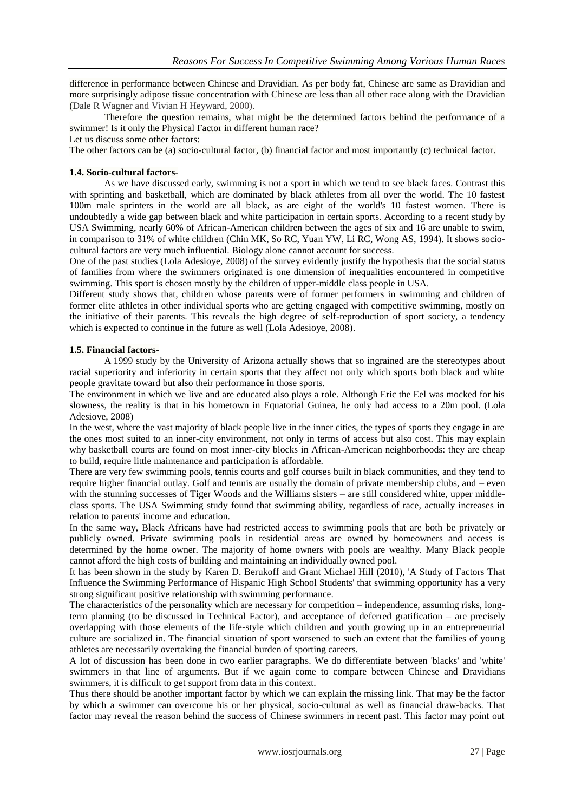difference in performance between Chinese and Dravidian. As per body fat, Chinese are same as Dravidian and more surprisingly adipose tissue concentration with Chinese are less than all other race along with the Dravidian (Dale R [Wagner](http://ajcn.nutrition.org/search?author1=Dale+R+Wagner&sortspec=date&submit=Submit) and Vivian H [Heyward,](http://ajcn.nutrition.org/search?author1=Vivian+H+Heyward&sortspec=date&submit=Submit) 2000).

Therefore the question remains, what might be the determined factors behind the performance of a swimmer! Is it only the Physical Factor in different human race?

Let us discuss some other factors:

The other factors can be (a) socio-cultural factor, (b) financial factor and most importantly (c) technical factor.

#### **1.4. Socio-cultural factors-**

As we have discussed early, swimming is not a sport in which we tend to see black faces. Contrast this with sprinting and basketball, which are dominated by black athletes from all over the world. The 10 fastest 100m male sprinters in the world are all black, as are eight of the world's 10 fastest women. There is undoubtedly a wide gap between black and white participation in certain sports. According to a [recent study by](https://swimfoundation.org/NETCOMMUNITY/SSLPage.aspx?pid=281&srcid=231)  [USA Swimming,](https://swimfoundation.org/NETCOMMUNITY/SSLPage.aspx?pid=281&srcid=231) nearly 60% of African-American children between the ages of six and 16 are unable to swim, in comparison to 31% of white children [\(Chin MK,](http://www.ncbi.nlm.nih.gov/pubmed?term=Chin%20MK%5BAuthor%5D&cauthor=true&cauthor_uid=7830388) [So RC,](http://www.ncbi.nlm.nih.gov/pubmed?term=So%20RC%5BAuthor%5D&cauthor=true&cauthor_uid=7830388) [Yuan YW,](http://www.ncbi.nlm.nih.gov/pubmed?term=Yuan%20YW%5BAuthor%5D&cauthor=true&cauthor_uid=7830388) [Li RC,](http://www.ncbi.nlm.nih.gov/pubmed?term=Li%20RC%5BAuthor%5D&cauthor=true&cauthor_uid=7830388) [Wong AS,](http://www.ncbi.nlm.nih.gov/pubmed?term=Wong%20AS%5BAuthor%5D&cauthor=true&cauthor_uid=7830388) 1994). It shows sociocultural factors are very much influential. Biology alone cannot account for success.

One of the past studies [\(Lola Adesioye,](http://www.theguardian.com/profile/lolaadesioye) 2008) of the survey evidently justify the hypothesis that the social status of families from where the swimmers originated is one dimension of inequalities encountered in competitive swimming. This sport is chosen mostly by the children of upper-middle class people in USA.

Different study shows that, children whose parents were of former performers in swimming and children of former elite athletes in other individual sports who are getting engaged with competitive swimming, mostly on the initiative of their parents. This reveals the high degree of self-reproduction of sport society, a tendency which is expected to continue in the future as well [\(Lola Adesioye,](http://www.theguardian.com/profile/lolaadesioye) 2008).

#### **1.5. Financial factors-**

A [1999 study by the University of Arizona](http://psycnet.apa.org/index.cfm?fa=search.displayRecord&uid=1999-15054-009) actually shows that so ingrained are the stereotypes about racial superiority and inferiority in certain sports that they affect not only which sports both black and white people gravitate toward but also their performance in those sports.

The environment in which we live and are educated also plays a role. Although Eric the Eel was mocked for his slowness, the reality is that in his hometown in Equatorial Guinea, he only had access to a 20m pool. (Lola Adesiove, 2008)

In the west, where the vast majority of black people live in the inner cities, the types of sports they engage in are the ones most suited to an inner-city environment, not only in terms of access but also cost. This may explain why basketball courts are found on most inner-city blocks in African-American neighborhoods: they are cheap to build, require little maintenance and participation is affordable.

There are very few swimming pools, tennis courts and golf courses built in black communities, and they tend to require higher financial outlay. Golf and tennis are usually the domain of private membership clubs, and – even with the stunning successes of Tiger Woods and the Williams sisters – are still considered white, upper middleclass sports. The USA Swimming study found that swimming ability, regardless of race, actually increases in relation to parents' income and education.

In the same way, Black Africans have had restricted access to swimming pools that are both be privately or publicly owned. Private swimming pools in residential areas are owned by homeowners and access is determined by the home owner. The majority of home owners with pools are wealthy. Many Black people cannot afford the high costs of building and maintaining an individually owned pool.

It has been shown in the study by Karen D. Berukoff and Grant Michael Hill (2010), 'A Study of Factors That Influence the Swimming Performance of Hispanic High School Students' that swimming opportunity has a very strong significant positive relationship with swimming performance.

The characteristics of the personality which are necessary for competition – independence, assuming risks, longterm planning (to be discussed in Technical Factor), and acceptance of deferred gratification – are precisely overlapping with those elements of the life-style which children and youth growing up in an entrepreneurial culture are socialized in. The financial situation of sport worsened to such an extent that the families of young athletes are necessarily overtaking the financial burden of sporting careers.

A lot of discussion has been done in two earlier paragraphs. We do differentiate between 'blacks' and 'white' swimmers in that line of arguments. But if we again come to compare between Chinese and Dravidians swimmers, it is difficult to get support from data in this context.

Thus there should be another important factor by which we can explain the missing link. That may be the factor by which a swimmer can overcome his or her physical, socio-cultural as well as financial draw-backs. That factor may reveal the reason behind the success of Chinese swimmers in recent past. This factor may point out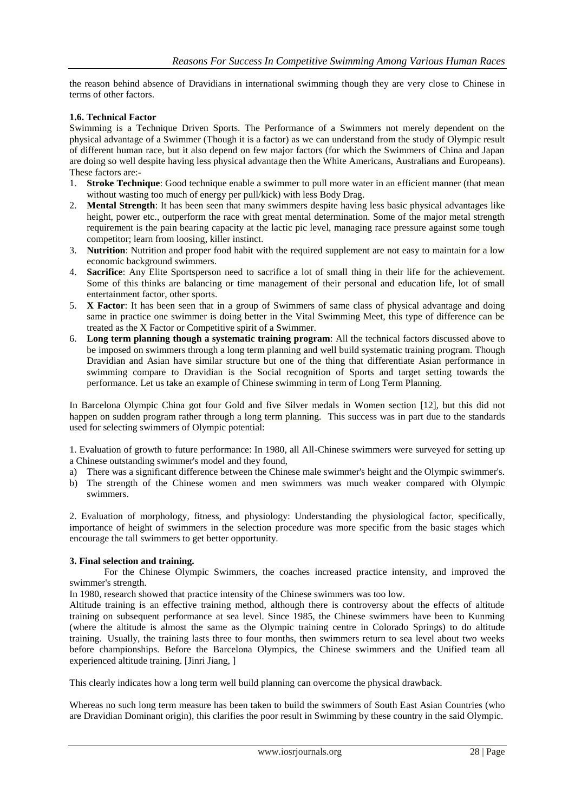the reason behind absence of Dravidians in international swimming though they are very close to Chinese in terms of other factors.

#### **1.6. Technical Factor**

Swimming is a Technique Driven Sports. The Performance of a Swimmers not merely dependent on the physical advantage of a Swimmer (Though it is a factor) as we can understand from the study of Olympic result of different human race, but it also depend on few major factors (for which the Swimmers of China and Japan are doing so well despite having less physical advantage then the White Americans, Australians and Europeans). These factors are:-

- 1. **Stroke Technique**: Good technique enable a swimmer to pull more water in an efficient manner (that mean without wasting too much of energy per pull/kick) with less Body Drag.
- 2. **Mental Strength**: It has been seen that many swimmers despite having less basic physical advantages like height, power etc., outperform the race with great mental determination. Some of the major metal strength requirement is the pain bearing capacity at the lactic pic level, managing race pressure against some tough competitor; learn from loosing, killer instinct.
- 3. **Nutrition**: Nutrition and proper food habit with the required supplement are not easy to maintain for a low economic background swimmers.
- 4. **Sacrifice**: Any Elite Sportsperson need to sacrifice a lot of small thing in their life for the achievement. Some of this thinks are balancing or time management of their personal and education life, lot of small entertainment factor, other sports.
- 5. **X Factor**: It has been seen that in a group of Swimmers of same class of physical advantage and doing same in practice one swimmer is doing better in the Vital Swimming Meet, this type of difference can be treated as the X Factor or Competitive spirit of a Swimmer.
- 6. **Long term planning though a systematic training program**: All the technical factors discussed above to be imposed on swimmers through a long term planning and well build systematic training program. Though Dravidian and Asian have similar structure but one of the thing that differentiate Asian performance in swimming compare to Dravidian is the Social recognition of Sports and target setting towards the performance. Let us take an example of Chinese swimming in term of Long Term Planning.

In Barcelona Olympic China got four Gold and five Silver medals in Women section [12], but this did not happen on sudden program rather through a long term planning. This success was in part due to the standards used for selecting swimmers of Olympic potential:

1. Evaluation of growth to future performance: In 1980, all All-Chinese swimmers were surveyed for setting up a Chinese outstanding swimmer's model and they found,

a) There was a significant difference between the Chinese male swimmer's height and the Olympic swimmer's.

b) The strength of the Chinese women and men swimmers was much weaker compared with Olympic swimmers.

2. Evaluation of morphology, fitness, and physiology: Understanding the physiological factor, specifically, importance of height of swimmers in the selection procedure was more specific from the basic stages which encourage the tall swimmers to get better opportunity.

# **3. Final selection and training.**

For the Chinese Olympic Swimmers, the coaches increased practice intensity, and improved the swimmer's strength.

In 1980, research showed that practice intensity of the Chinese swimmers was too low.

Altitude training is an effective training method, although there is controversy about the effects of altitude training on subsequent performance at sea level. Since 1985, the Chinese swimmers have been to Kunming (where the altitude is almost the same as the Olympic training centre in Colorado Springs) to do altitude training. Usually, the training lasts three to four months, then swimmers return to sea level about two weeks before championships. Before the Barcelona Olympics, the Chinese swimmers and the Unified team all experienced altitude training. [Jinri Jiang, ]

This clearly indicates how a long term well build planning can overcome the physical drawback.

Whereas no such long term measure has been taken to build the swimmers of South East Asian Countries (who are Dravidian Dominant origin), this clarifies the poor result in Swimming by these country in the said Olympic.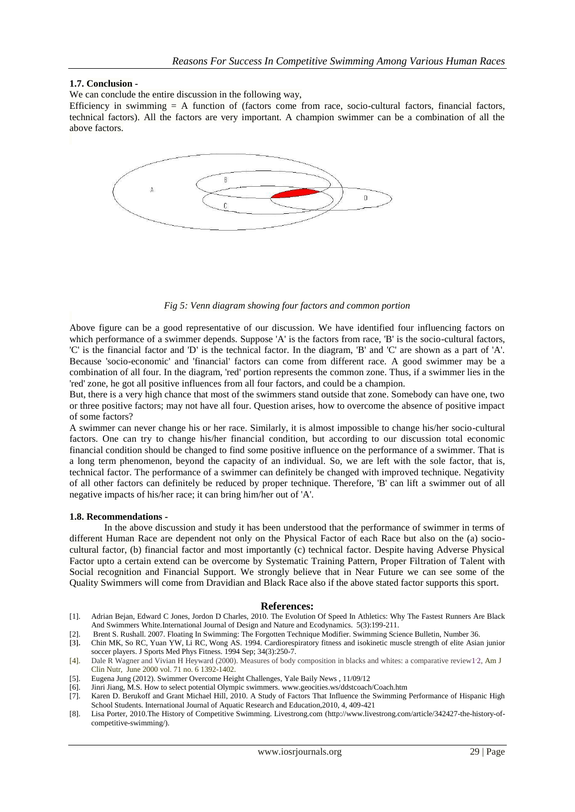#### **1.7. Conclusion -**

We can conclude the entire discussion in the following way,

Efficiency in swimming  $= A$  function of (factors come from race, socio-cultural factors, financial factors, technical factors). All the factors are very important. A champion swimmer can be a combination of all the above factors.



*Fig 5: Venn diagram showing four factors and common portion*

Above figure can be a good representative of our discussion. We have identified four influencing factors on which performance of a swimmer depends. Suppose 'A' is the factors from race, 'B' is the socio-cultural factors, 'C' is the financial factor and 'D' is the technical factor. In the diagram, 'B' and 'C' are shown as a part of 'A'. Because 'socio-economic' and 'financial' factors can come from different race. A good swimmer may be a combination of all four. In the diagram, 'red' portion represents the common zone. Thus, if a swimmer lies in the 'red' zone, he got all positive influences from all four factors, and could be a champion.

But, there is a very high chance that most of the swimmers stand outside that zone. Somebody can have one, two or three positive factors; may not have all four. Question arises, how to overcome the absence of positive impact of some factors?

A swimmer can never change his or her race. Similarly, it is almost impossible to change his/her socio-cultural factors. One can try to change his/her financial condition, but according to our discussion total economic financial condition should be changed to find some positive influence on the performance of a swimmer. That is a long term phenomenon, beyond the capacity of an individual. So, we are left with the sole factor, that is, technical factor. The performance of a swimmer can definitely be changed with improved technique. Negativity of all other factors can definitely be reduced by proper technique. Therefore, 'B' can lift a swimmer out of all negative impacts of his/her race; it can bring him/her out of 'A'.

#### **1.8. Recommendations -**

In the above discussion and study it has been understood that the performance of swimmer in terms of different Human Race are dependent not only on the Physical Factor of each Race but also on the (a) sociocultural factor, (b) financial factor and most importantly (c) technical factor. Despite having Adverse Physical Factor upto a certain extend can be overcome by Systematic Training Pattern, Proper Filtration of Talent with Social recognition and Financial Support. We strongly believe that in Near Future we can see some of the Quality Swimmers will come from Dravidian and Black Race also if the above stated factor supports this sport.

#### **References:**

[1]. Adrian Bejan, Edward C Jones, Jordon D Charles, 2010. The Evolution Of Speed In Athletics: Why The Fastest Runners Are Black And Swimmers White.International Journal of Design and Nature and Ecodynamics. 5(3):199-211.

[2]. Brent S. Rushall. 2007. Floating In Swimming: The Forgotten Technique Modifier. Swimming Science Bulletin, Number 36.

- **[3].** [Chin MK,](http://www.ncbi.nlm.nih.gov/pubmed?term=Chin%20MK%5BAuthor%5D&cauthor=true&cauthor_uid=7830388) [So RC,](http://www.ncbi.nlm.nih.gov/pubmed?term=So%20RC%5BAuthor%5D&cauthor=true&cauthor_uid=7830388) [Yuan YW,](http://www.ncbi.nlm.nih.gov/pubmed?term=Yuan%20YW%5BAuthor%5D&cauthor=true&cauthor_uid=7830388) [Li RC,](http://www.ncbi.nlm.nih.gov/pubmed?term=Li%20RC%5BAuthor%5D&cauthor=true&cauthor_uid=7830388) [Wong AS.](http://www.ncbi.nlm.nih.gov/pubmed?term=Wong%20AS%5BAuthor%5D&cauthor=true&cauthor_uid=7830388) 1994. Cardiorespiratory fitness and isokinetic muscle strength of elite Asian junior soccer players[. J Sports Med Phys Fitness.](http://www.ncbi.nlm.nih.gov/pubmed/7830388) 1994 Sep; 34(3):250-7.
- [4]. Dale R [Wagner](http://ajcn.nutrition.org/search?author1=Dale+R+Wagner&sortspec=date&submit=Submit) and Vivian H [Heyward](http://ajcn.nutrition.org/search?author1=Vivian+H+Heyward&sortspec=date&submit=Submit) (2000). Measures of body composition in blacks and whites: a comparative revie[w1](http://ajcn.nutrition.org/content/71/6/1392.long#aff-1) , [2,](http://ajcn.nutrition.org/content/71/6/1392.long#fn-2) Am J Clin Nutr, June 2000 vol. 71 no. 6 1392-1402.
- [5]. Eugena Jung (2012). Swimmer Overcome Height Challenges, Yale Baily News , 11/09/12
- [6]. Jinri Jiang, M.S. How to select potential Olympic swimmers[. www.geocities.ws/ddstcoach/Coach.htm](http://www.geocities.ws/ddstcoach/Coach.htm)
- Karen D. Berukoff and Grant Michael Hill, 2010. A Study of Factors That Influence the Swimming Performance of Hispanic High School Students. International Journal of Aquatic Research and Education,2010, 4, 409-421
- [8]. Lisa Porter, 2010.The History of Competitive Swimming. Livestrong.com [\(http://www.livestrong.com/article/342427-the-history-of](http://www.livestrong.com/article/342427-the-history-of-competitive-swimming/)[competitive-swimming/\)](http://www.livestrong.com/article/342427-the-history-of-competitive-swimming/).